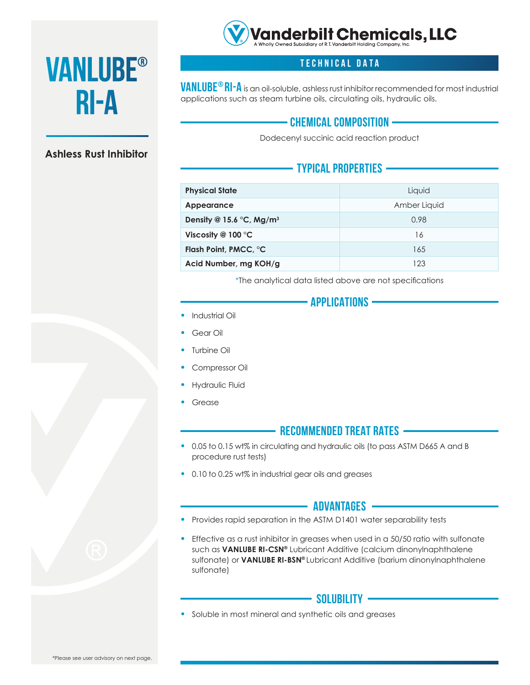

# **Vanlube®**

## **Ashless Rust Inhibitor**



**VANLUBE® RI-A** is an oil-soluble, ashless rust inhibitor recommended for most industrial<br>applications such as steam turbine oils, circulating oils, hydraulic oils. applications such as steam turbine oils, circulating oils, hydraulic oils.

# **chemical composition**

Dodecenyl succinic acid reaction product

# **Typical Properties**

| <b>Physical State</b>                | Liquid       |
|--------------------------------------|--------------|
| Appearance                           | Amber Liquid |
| Density @ 15.6 °C, Mg/m <sup>3</sup> | 0.98         |
| Viscosity @ 100 $\degree$ C          | 16           |
| Flash Point, PMCC, °C                | 165          |
| Acid Number, mg KOH/g                | 123          |

\*The analytical data listed above are not specifications

## **Applications**

- Industrial Oil
- Gear Oil
- Turbine Oil
- Compressor Oil
- Hydraulic Fluid
- **Grease**

## **Recommended Treat Rates**

- 0.05 to 0.15 wt% in circulating and hydraulic oils (to pass ASTM D665 A and B procedure rust tests)
- 0.10 to 0.25 wt% in industrial gear oils and greases

#### - Advantages **-**

- Provides rapid separation in the ASTM D1401 water separability tests
- Effective as a rust inhibitor in greases when used in a  $50/50$  ratio with sulfonate such as **VANLUBE RI-CSN®** Lubricant Additive (calcium dinonylnaphthalene sulfonate) or **VANLUBE RI-BSN®** Lubricant Additive (barium dinonylnaphthalene sulfonate)

#### - Solubility —

• Soluble in most mineral and synthetic oils and greases